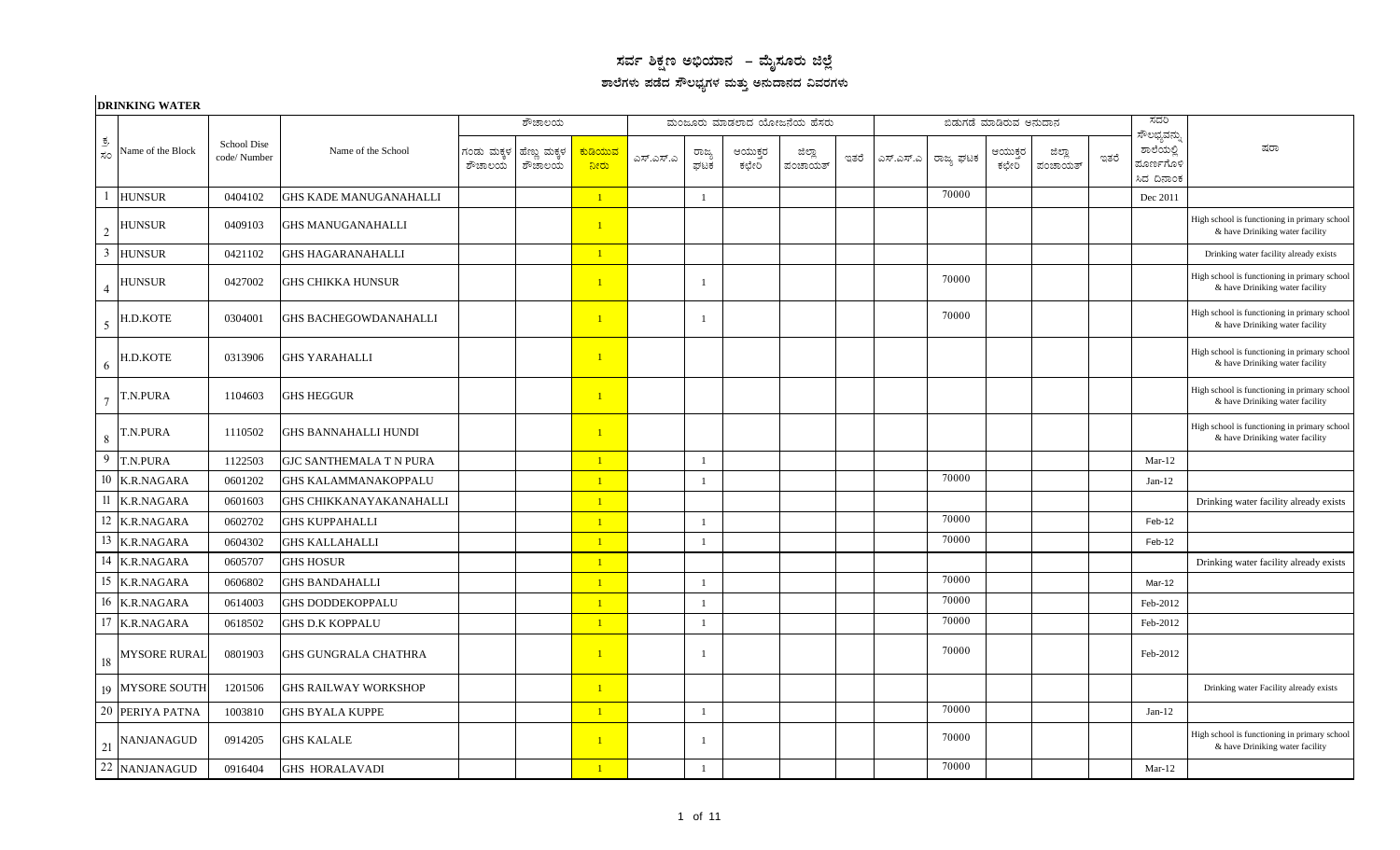## $\,$ ಸರ್ವ ಶಿಕ್ಷಣ ಅಭಿಯಾನ – ಮೈಸೂರು ಜಿಲ್ಲೆ ಶಾಲೆಗಳು ಪಡೆದ ಸೌಲಭ್ಯಗಳ ಮತ್ತು ಅನುದಾನದ ವಿವರಗಳು

|                | <b>DRINKING WATER</b> |                             |                               |                      |                        |                 |           |                |                  |                            |      |           |           |                        |                   |      |                                                     |                                                                                 |
|----------------|-----------------------|-----------------------------|-------------------------------|----------------------|------------------------|-----------------|-----------|----------------|------------------|----------------------------|------|-----------|-----------|------------------------|-------------------|------|-----------------------------------------------------|---------------------------------------------------------------------------------|
|                |                       |                             |                               |                      | ಶೌಚಾಲಯ                 |                 |           |                |                  | ಮಂಜೂರು ಮಾಡಲಾದ ಯೋಜನೆಯ ಹೆಸರು |      |           |           | ಬಿಡುಗಡೆ ಮಾಡಿರುವ ಅನುದಾನ |                   |      | ಸದರಿ                                                |                                                                                 |
| ಕ್ರ.<br>ಸಂ     | Name of the Block     | School Dise<br>code/ Number | Name of the School            | ಗಂಡು ಮಕ್ಕಳ<br>ಶೌಚಾಲಯ | ಹೆಣ್ಣು ಮಕ್ಕಳ<br>ಶೌಚಾಲಯ | ಕುಡಿಯುವ<br>ನೀರು | ಎಸ್.ಎಸ್.ಎ | ರಾಜ್ಯ<br>ಘಟಕ   | ಆಯುಕ್ತರ<br>ಕಛೇರಿ | ಜಿಲ್ಲಾ<br>ಪಂಚಾಯತ್          | ಇತರೆ | ಎಸ್.ಎಸ್.ಎ | ರಾಜ್ಯ ಘಟಕ | ಆಯುಕ್ತರ<br>ಕಛೇರಿ       | ಜಿಲ್ಲಾ<br>ಪಂಚಾಯತ್ | ಇತರೆ | ಸೌಲಭ್ಯವನ್ನು<br>ಶಾಲೆಯಲ್ಲಿ<br>ಮೂರ್ಣಗೊಳಿ<br>ಸಿದ ದಿನಾಂಕ | ಷರಾ                                                                             |
|                | <b>HUNSUR</b>         | 0404102                     | <b>GHS KADE MANUGANAHALLI</b> |                      |                        | $\overline{1}$  |           | -1             |                  |                            |      |           | 70000     |                        |                   |      | Dec 2011                                            |                                                                                 |
| $\overline{2}$ | <b>HUNSUR</b>         | 0409103                     | <b>GHS MANUGANAHALLI</b>      |                      |                        | $\overline{1}$  |           |                |                  |                            |      |           |           |                        |                   |      |                                                     | High school is functioning in primary school<br>& have Driniking water facility |
| 3              | <b>HUNSUR</b>         | 0421102                     | <b>GHS HAGARANAHALLI</b>      |                      |                        | $\vert 1 \vert$ |           |                |                  |                            |      |           |           |                        |                   |      |                                                     | Drinking water facility already exists                                          |
|                | <b>HUNSUR</b>         | 0427002                     | <b>GHS CHIKKA HUNSUR</b>      |                      |                        | $\overline{1}$  |           | $\overline{1}$ |                  |                            |      |           | 70000     |                        |                   |      |                                                     | High school is functioning in primary school<br>& have Driniking water facility |
| 5              | H.D.KOTE              | 0304001                     | <b>GHS BACHEGOWDANAHALLI</b>  |                      |                        | $\overline{1}$  |           | $\overline{1}$ |                  |                            |      |           | 70000     |                        |                   |      |                                                     | High school is functioning in primary school<br>& have Driniking water facility |
| 6              | H.D.KOTE              | 0313906                     | <b>GHS YARAHALLI</b>          |                      |                        | $\mathbf{1}$    |           |                |                  |                            |      |           |           |                        |                   |      |                                                     | High school is functioning in primary school<br>& have Driniking water facility |
| $\overline{7}$ | T.N.PURA              | 1104603                     | GHS HEGGUR                    |                      |                        | $\mathbf{1}$    |           |                |                  |                            |      |           |           |                        |                   |      |                                                     | High school is functioning in primary school<br>& have Driniking water facility |
| 8              | T.N.PURA              | 1110502                     | GHS BANNAHALLI HUNDI          |                      |                        | $\overline{1}$  |           |                |                  |                            |      |           |           |                        |                   |      |                                                     | High school is functioning in primary school<br>& have Driniking water facility |
| 9              | T.N.PURA              | 1122503                     | GJC SANTHEMALA T N PURA       |                      |                        | $\overline{1}$  |           | -1             |                  |                            |      |           |           |                        |                   |      | $Mar-12$                                            |                                                                                 |
| 10             | <b>K.R.NAGARA</b>     | 0601202                     | <b>GHS KALAMMANAKOPPALU</b>   |                      |                        | $\overline{1}$  |           | -1             |                  |                            |      |           | 70000     |                        |                   |      | $Jan-12$                                            |                                                                                 |
| 11             | <b>K.R.NAGARA</b>     | 0601603                     | GHS CHIKKANAYAKANAHALLI       |                      |                        | $\overline{1}$  |           |                |                  |                            |      |           |           |                        |                   |      |                                                     | Drinking water facility already exists                                          |
| 12             | <b>K.R.NAGARA</b>     | 0602702                     | <b>GHS KUPPAHALLI</b>         |                      |                        | $\overline{1}$  |           | $\overline{1}$ |                  |                            |      |           | 70000     |                        |                   |      | Feb-12                                              |                                                                                 |
| 13             | K.R.NAGARA            | 0604302                     | GHS KALLAHALLI                |                      |                        | $\overline{1}$  |           | $\mathbf{1}$   |                  |                            |      |           | 70000     |                        |                   |      | Feb-12                                              |                                                                                 |
| 14             | <b>K.R.NAGARA</b>     | 0605707                     | <b>GHS HOSUR</b>              |                      |                        | $\overline{1}$  |           |                |                  |                            |      |           |           |                        |                   |      |                                                     | Drinking water facility already exists                                          |
| 15             | <b>K.R.NAGARA</b>     | 0606802                     | <b>GHS BANDAHALLI</b>         |                      |                        | $\overline{1}$  |           | $\mathbf{1}$   |                  |                            |      |           | 70000     |                        |                   |      | Mar-12                                              |                                                                                 |
|                | 16 K.R.NAGARA         | 0614003                     | <b>GHS DODDEKOPPALU</b>       |                      |                        | $\overline{1}$  |           | -1             |                  |                            |      |           | 70000     |                        |                   |      | Feb-2012                                            |                                                                                 |
| 17             | <b>K.R.NAGARA</b>     | 0618502                     | <b>GHS D.K KOPPALU</b>        |                      |                        | $\mathbf{1}$    |           | $\overline{1}$ |                  |                            |      |           | 70000     |                        |                   |      | Feb-2012                                            |                                                                                 |
| 18             | <b>MYSORE RURAL</b>   | 0801903                     | GHS GUNGRALA CHATHRA          |                      |                        | $\overline{1}$  |           | <sup>1</sup>   |                  |                            |      |           | 70000     |                        |                   |      | Feb-2012                                            |                                                                                 |
|                | 19 MYSORE SOUTH       | 1201506                     | <b>GHS RAILWAY WORKSHOP</b>   |                      |                        | $\overline{1}$  |           |                |                  |                            |      |           |           |                        |                   |      |                                                     | Drinking water Facility already exists                                          |
| 20             | PERIYA PATNA          | 1003810                     | GHS BYALA KUPPE               |                      |                        | $\overline{1}$  |           | $\overline{1}$ |                  |                            |      |           | 70000     |                        |                   |      | $Jan-12$                                            |                                                                                 |
| 21             | <b>NANJANAGUD</b>     | 0914205                     | <b>GHS KALALE</b>             |                      |                        | $\overline{1}$  |           | $\overline{1}$ |                  |                            |      |           | 70000     |                        |                   |      |                                                     | High school is functioning in primary school<br>& have Driniking water facility |
|                | 22 NANJANAGUD         | 0916404                     | <b>GHS HORALAVADI</b>         |                      |                        | $\overline{1}$  |           | $\overline{1}$ |                  |                            |      |           | 70000     |                        |                   |      | $Mar-12$                                            |                                                                                 |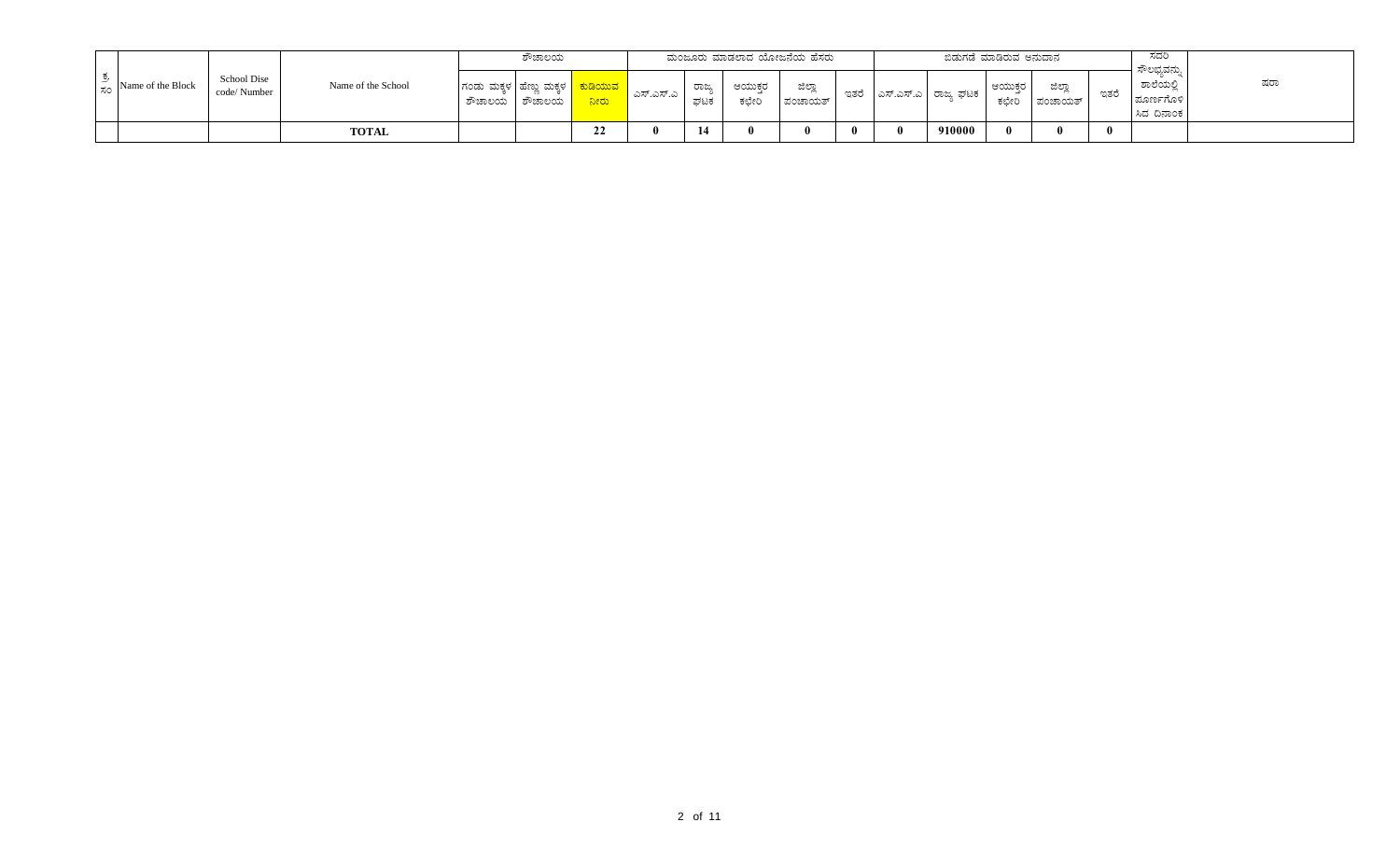|                                  |                             |                    |               | ಶೌಚಾಲಯ                                                      |                               |                        |              |                | ಮಂಜೂರು ಮಾಡಲಾದ ಯೋಜನೆಯ ಹೆಸರು |      |                                      | ಬಿಡುಗಡೆ ಮಾಡಿರುವ ಅನುದಾನ |                   |              | ಸದರಿ<br>ಸೌಲಭ್ಯವನು,                 |     |
|----------------------------------|-----------------------------|--------------------|---------------|-------------------------------------------------------------|-------------------------------|------------------------|--------------|----------------|----------------------------|------|--------------------------------------|------------------------|-------------------|--------------|------------------------------------|-----|
| $\frac{1}{20}$ Name of the Block | School Dise<br>code/ Number | Name of the School | ಶೌಚಾಲಯ ಶೌಚಾಲಯ | ಗಂಡು ಮಕ್ಕಳ   ಹೆಣ್ಣು ಮಕ್ಕಳ $\color{blue} \blacktriangleleft$ | <mark>  ಕುಡಿಯುವ</mark><br>ಾಂದ | $\blacksquare$ ಎಸ್.ಎ । | ರಾಜ್ಯ<br>ಘಟಕ | ಆಯುಕರ<br>ಕಛೇರಿ | ಜಿಲ್ಲಾ<br>ಪಂಚಾಯತ್          | ಇತರೆ | <sub>৴</sub>   ಎಸ್.ಎಸ್.ಎ   ರಾಜ್ಕ ಘಟಕ | ಆಯುಕರ<br>ಕಛೇರಿ         | ಜಿಲ್ಲಾ<br>ಪಂಚಾಯತ್ | ಇತರೆ         | ಶಾಲೆಯಲಿ<br>ಮೂರ್ಣಗೊಳಿ<br>ಸಿದ ದಿನಾಂಕ | ಷರಾ |
|                                  |                             | <b>TOTAL</b>       |               |                                                             | $\ddot{\phantom{0}}$<br>LΖ    |                        | 14           |                |                            |      | 910000                               |                        |                   | $\mathbf{0}$ |                                    |     |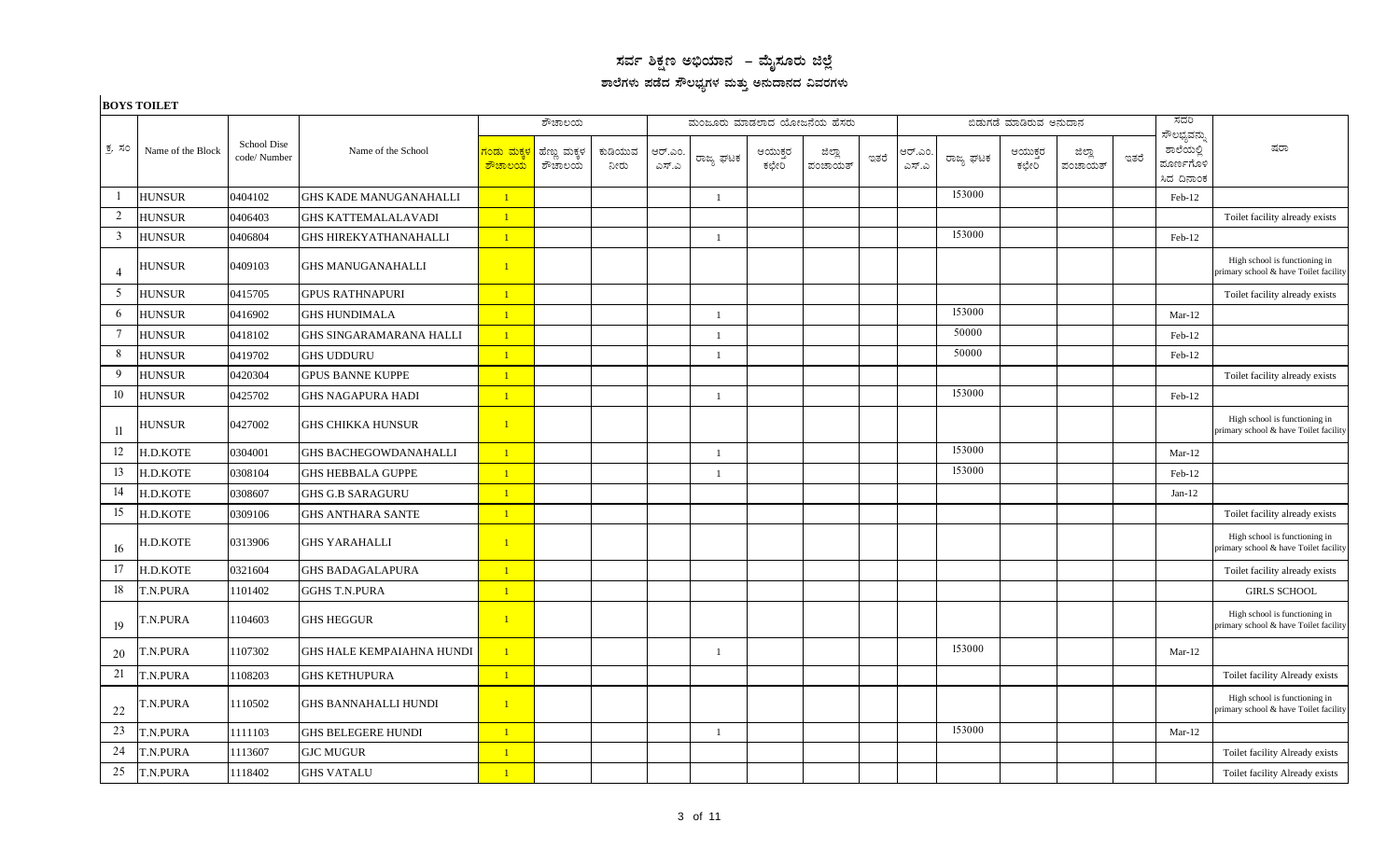## $\,$ ಸರ್ವ ಶಿಕ್ಷಣ ಅಭಿಯಾನ – ಮೈಸೂರು ಜಿಲ್ಲೆ ಶಾಲೆಗಳು ಪಡೆದ ಸೌಲಭ್ಯಗಳ ಮತ್ತು ಅನುದಾನದ ವಿವರಗಳು

## **BOYS TOILET**

|                 |                   |                            |                                  |                                                | ಶೌಚಾಲಯ                 |                 |                 | ಮಂಜೂರು ಮಾಡಲಾದ ಯೋಜನೆಯ ಹೆಸರು |                  |                   |      |                  |           | ಬಿಡುಗಡೆ ಮಾಡಿರುವ ಅನುದಾನ |                   |      | ಸದರಿ                                                |                                                                        |
|-----------------|-------------------|----------------------------|----------------------------------|------------------------------------------------|------------------------|-----------------|-----------------|----------------------------|------------------|-------------------|------|------------------|-----------|------------------------|-------------------|------|-----------------------------------------------------|------------------------------------------------------------------------|
| ಕ್ರ ಸಂ          | Name of the Block | School Dise<br>code/Number | Name of the School               | <mark>ಗಂಡು ಮಕ್ಕಳ</mark><br><mark>ಶೌಚಾಲಯ</mark> | ಹೆಣ್ಣು ಮಕ್ಕಳ<br>ಕೌಚಾಲಯ | ಕುಡಿಯುವ<br>ನೀರು | ಆರ್.ಎಂ<br>ಎಸ್.ಎ | ರಾಜ್ಯ ಘಟಕ                  | ಆಯುಕ್ತರ<br>ಕಛೇರಿ | ಜಿಲ್ಲಾ<br>ಪಂಚಾಯತ್ | ಇತರೆ | ಆರ್.ಎಂ.<br>ಎಸ್.ಎ | ರಾಜ್ಯ ಘಟಕ | ಆಯುಕ್ತರ<br>ಕಛೇರಿ       | ಜಿಲ್ಲಾ<br>ಪಂಚಾಯತ್ | ಇತರೆ | ಸೌಲಭ್ಯವನ್ನು<br>ಶಾಲೆಯಲ್ಲಿ<br>ಮೂರ್ಣಗೊಳಿ<br>ಸಿದ ದಿನಾಂಕ | ಷರಾ                                                                    |
| $\mathbf{1}$    | <b>HUNSUR</b>     | 0404102                    | <b>GHS KADE MANUGANAHALLI</b>    | $\mathbf{1}$                                   |                        |                 |                 | $\mathbf{1}$               |                  |                   |      |                  | 153000    |                        |                   |      | Feb-12                                              |                                                                        |
| 2               | <b>HUNSUR</b>     | 0406403                    | <b>GHS KATTEMALALAVADI</b>       | $\mathbf{1}$                                   |                        |                 |                 |                            |                  |                   |      |                  |           |                        |                   |      |                                                     | Toilet facility already exists                                         |
| $\overline{3}$  | <b>HUNSUR</b>     | 0406804                    | <b>GHS HIREKYATHANAHALLI</b>     | $\mathbf{1}$                                   |                        |                 |                 | $\overline{1}$             |                  |                   |      |                  | 153000    |                        |                   |      | Feb-12                                              |                                                                        |
| $\overline{4}$  | <b>HUNSUR</b>     | 0409103                    | <b>GHS MANUGANAHALLI</b>         | $\mathbf{1}$                                   |                        |                 |                 |                            |                  |                   |      |                  |           |                        |                   |      |                                                     | High school is functioning in<br>primary school & have Toilet facility |
| 5               | <b>HUNSUR</b>     | 0415705                    | <b>GPUS RATHNAPURI</b>           | $\mathbf{1}$                                   |                        |                 |                 |                            |                  |                   |      |                  |           |                        |                   |      |                                                     | Toilet facility already exists                                         |
| 6               | <b>HUNSUR</b>     | 0416902                    | <b>GHS HUNDIMALA</b>             | $\overline{1}$                                 |                        |                 |                 | $\overline{1}$             |                  |                   |      |                  | 153000    |                        |                   |      | $Mar-12$                                            |                                                                        |
| $7\phantom{.0}$ | <b>HUNSUR</b>     | 0418102                    | <b>GHS SINGARAMARANA HALLI</b>   | $\mathbf{1}$                                   |                        |                 |                 | $\overline{1}$             |                  |                   |      |                  | 50000     |                        |                   |      | Feb-12                                              |                                                                        |
| 8               | <b>HUNSUR</b>     | 0419702                    | <b>GHS UDDURU</b>                | $\overline{1}$                                 |                        |                 |                 | $\overline{1}$             |                  |                   |      |                  | 50000     |                        |                   |      | Feb-12                                              |                                                                        |
| 9               | <b>HUNSUR</b>     | 0420304                    | <b>GPUS BANNE KUPPE</b>          | $\vert 1 \vert$                                |                        |                 |                 |                            |                  |                   |      |                  |           |                        |                   |      |                                                     | Toilet facility already exists                                         |
| 10              | <b>HUNSUR</b>     | 0425702                    | <b>GHS NAGAPURA HADI</b>         | $\overline{1}$                                 |                        |                 |                 | $\overline{1}$             |                  |                   |      |                  | 153000    |                        |                   |      | Feb-12                                              |                                                                        |
| 11              | <b>HUNSUR</b>     | 0427002                    | <b>GHS CHIKKA HUNSUR</b>         | $\overline{1}$                                 |                        |                 |                 |                            |                  |                   |      |                  |           |                        |                   |      |                                                     | High school is functioning in<br>primary school & have Toilet facility |
| 12              | H.D.KOTE          | 0304001                    | <b>GHS BACHEGOWDANAHALLI</b>     | $\mathbf{1}$                                   |                        |                 |                 | $\overline{1}$             |                  |                   |      |                  | 153000    |                        |                   |      | $Mar-12$                                            |                                                                        |
| 13              | H.D.KOTE          | 0308104                    | <b>GHS HEBBALA GUPPE</b>         | $\mathbf{1}$                                   |                        |                 |                 | $\overline{1}$             |                  |                   |      |                  | 153000    |                        |                   |      | Feb-12                                              |                                                                        |
| 14              | H.D.KOTE          | 0308607                    | <b>GHS G.B SARAGURU</b>          | $\mathbf{1}$                                   |                        |                 |                 |                            |                  |                   |      |                  |           |                        |                   |      | $Jan-12$                                            |                                                                        |
| 15              | H.D.KOTE          | 0309106                    | <b>GHS ANTHARA SANTE</b>         | $\mathbf{1}$                                   |                        |                 |                 |                            |                  |                   |      |                  |           |                        |                   |      |                                                     | Toilet facility already exists                                         |
| 16              | H.D.KOTE          | 0313906                    | <b>GHS YARAHALLI</b>             | $\mathbf{1}$                                   |                        |                 |                 |                            |                  |                   |      |                  |           |                        |                   |      |                                                     | High school is functioning in<br>primary school & have Toilet facility |
| 17              | H.D.KOTE          | 0321604                    | <b>GHS BADAGALAPURA</b>          | $\mathbf{1}$                                   |                        |                 |                 |                            |                  |                   |      |                  |           |                        |                   |      |                                                     | Toilet facility already exists                                         |
| 18              | <b>T.N.PURA</b>   | 1101402                    | <b>GGHS T.N.PURA</b>             | $\mathbf{1}$                                   |                        |                 |                 |                            |                  |                   |      |                  |           |                        |                   |      |                                                     | <b>GIRLS SCHOOL</b>                                                    |
| 19              | <b>F.N.PURA</b>   | 1104603                    | <b>GHS HEGGUR</b>                | $\overline{1}$                                 |                        |                 |                 |                            |                  |                   |      |                  |           |                        |                   |      |                                                     | High school is functioning in<br>primary school & have Toilet facility |
| 20              | T.N.PURA          | 1107302                    | <b>GHS HALE KEMPAIAHNA HUNDI</b> | $\overline{1}$                                 |                        |                 |                 | $\overline{1}$             |                  |                   |      |                  | 153000    |                        |                   |      | $Mar-12$                                            |                                                                        |
| 21              | T.N.PURA          | 1108203                    | <b>GHS KETHUPURA</b>             | $\vert 1 \vert$                                |                        |                 |                 |                            |                  |                   |      |                  |           |                        |                   |      |                                                     | Toilet facility Already exists                                         |
| 22              | <b>T.N.PURA</b>   | 1110502                    | <b>GHS BANNAHALLI HUNDI</b>      | $\mathbf{1}$                                   |                        |                 |                 |                            |                  |                   |      |                  |           |                        |                   |      |                                                     | High school is functioning in<br>primary school & have Toilet facility |
| 23              | T.N.PURA          | 1111103                    | <b>GHS BELEGERE HUNDI</b>        | $\mathbf{1}$                                   |                        |                 |                 | $\overline{1}$             |                  |                   |      |                  | 153000    |                        |                   |      | $Mar-12$                                            |                                                                        |
| 24              | T.N.PURA          | 1113607                    | <b>GJC MUGUR</b>                 | $\mathbf{1}$                                   |                        |                 |                 |                            |                  |                   |      |                  |           |                        |                   |      |                                                     | Toilet facility Already exists                                         |
| 25              | T.N.PURA          | 1118402                    | <b>GHS VATALU</b>                | $\mathbf{1}$                                   |                        |                 |                 |                            |                  |                   |      |                  |           |                        |                   |      |                                                     | Toilet facility Already exists                                         |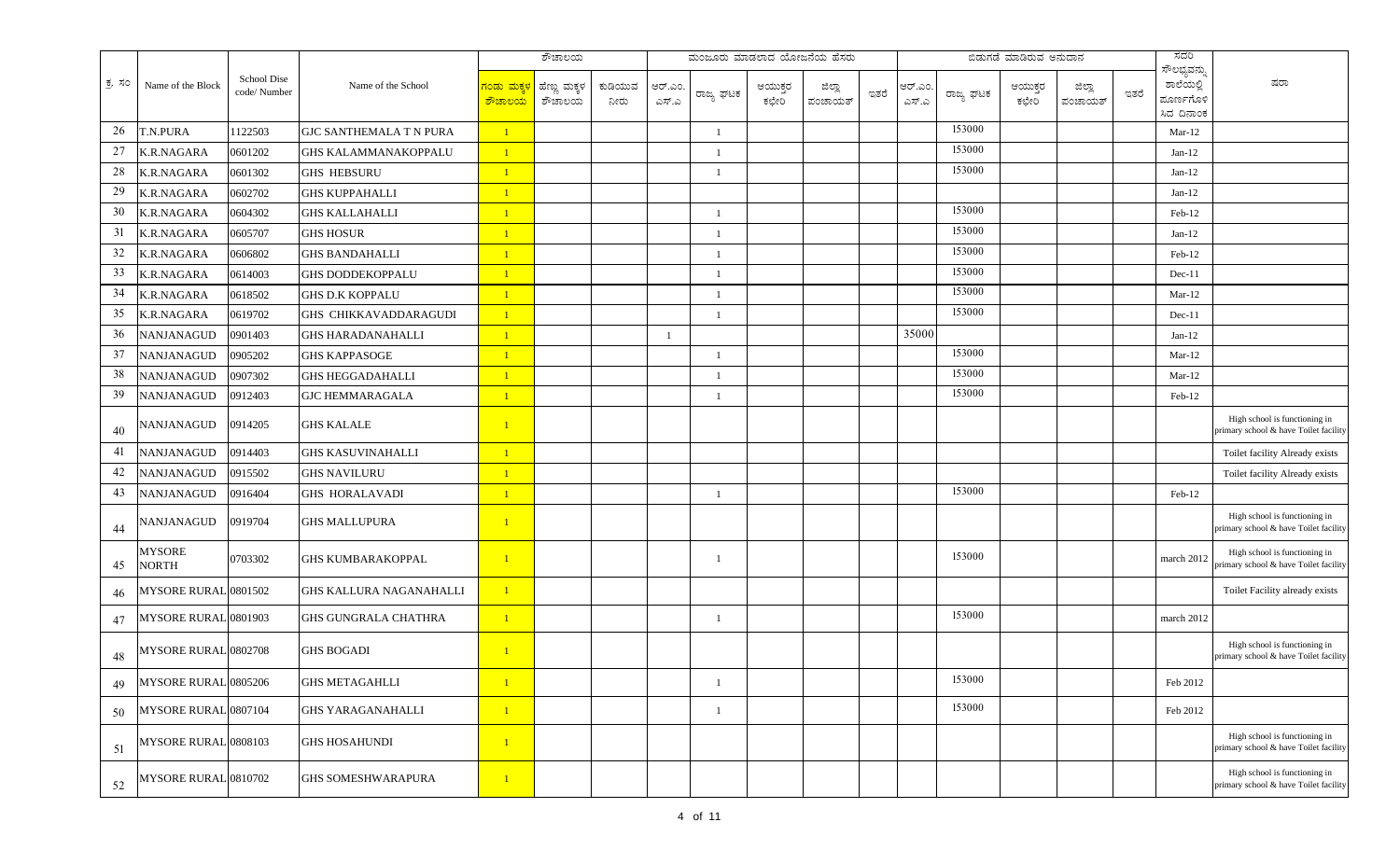|        |                        |                            |                                |                                         | $\overline{\vec{v}^{\text{p}}$ ಚಾಲಯ |                 |                  | ಮಂಜೂರು ಮಾಡಲಾದ ಯೋಜನೆಯ ಹೆಸರು |                  |                   |      |                  |           | ಬಿಡುಗಡೆ ಮಾಡಿರುವ ಅನುದಾನ |                   |      | ಸದರಿ                                                |                                                                        |
|--------|------------------------|----------------------------|--------------------------------|-----------------------------------------|-------------------------------------|-----------------|------------------|----------------------------|------------------|-------------------|------|------------------|-----------|------------------------|-------------------|------|-----------------------------------------------------|------------------------------------------------------------------------|
| ಕ, ಸಂ  | Name of the Block      | School Dise<br>code/Number | Name of the School             | <u>ನಂಡು ಮಕ್ಕ</u><br><mark>ಶೌಚಾಲಯ</mark> | ಹೆಣ್ಣು ಮಕ್ಕಳ<br>ಶೌಚಾಲಯ              | ಕುಡಿಯುವ<br>ನೀರು | ಆರ್.ಎಂ.<br>ಎಸ್.ಎ | ರಾಜ್ಯ ಘಟಕ                  | ಆಯುಕ್ತರ<br>ಕಛೇರಿ | ಜಿಲ್ಲಾ<br>ಪಂಚಾಯತ್ | ಇತರೆ | ಆರ್.ಎಂ.<br>ಎಸ್.ಎ | ರಾಜ್ಯ ಘಟಕ | ಆಯುಕ್ತರ<br>ಕಛೇರಿ       | ಜಿಲ್ಲಾ<br>ಪಂಚಾಯತ್ | ಇತರೆ | ಸೌಲಭ್ಯವನ್ನು<br>ಶಾಲೆಯಲ್ಲಿ<br>ಮೂರ್ಣಗೊಳಿ<br>ಸಿದ ದಿನಾಂಕ | ಷರಾ                                                                    |
| 26     | T.N.PURA               | 1122503                    | <b>GJC SANTHEMALA T N PURA</b> | $\mathbf{1}$                            |                                     |                 |                  | -1                         |                  |                   |      |                  | 153000    |                        |                   |      | $Mar-12$                                            |                                                                        |
| $27\,$ | K.R.NAGARA             | 0601202                    | <b>GHS KALAMMANAKOPPALU</b>    | $\mathbf{1}$                            |                                     |                 |                  | $\mathbf{1}$               |                  |                   |      |                  | 153000    |                        |                   |      | $Jan-12$                                            |                                                                        |
| $28\,$ | K.R.NAGARA             | 0601302                    | <b>GHS HEBSURU</b>             | $\mathbf{1}$                            |                                     |                 |                  |                            |                  |                   |      |                  | 153000    |                        |                   |      | $Jan-12$                                            |                                                                        |
| 29     | <b>K.R.NAGARA</b>      | 0602702                    | <b>GHS KUPPAHALLI</b>          | $\mathbf{1}$                            |                                     |                 |                  |                            |                  |                   |      |                  |           |                        |                   |      | $Jan-12$                                            |                                                                        |
| 30     | <b>K.R.NAGARA</b>      | 0604302                    | <b>GHS KALLAHALLI</b>          | $\mathbf{1}$                            |                                     |                 |                  |                            |                  |                   |      |                  | 153000    |                        |                   |      | Feb-12                                              |                                                                        |
| 31     | K.R.NAGARA             | 0605707                    | <b>GHS HOSUR</b>               | $\mathbf{1}$                            |                                     |                 |                  |                            |                  |                   |      |                  | 153000    |                        |                   |      | $Jan-12$                                            |                                                                        |
| $32\,$ | K.R.NAGARA             | 0606802                    | <b>GHS BANDAHALLI</b>          | $\overline{1}$                          |                                     |                 |                  | $\overline{1}$             |                  |                   |      |                  | 153000    |                        |                   |      | Feb-12                                              |                                                                        |
| 33     | K.R.NAGARA             | 0614003                    | <b>GHS DODDEKOPPALU</b>        | $\mathbf{1}$                            |                                     |                 |                  |                            |                  |                   |      |                  | 153000    |                        |                   |      | $Dec-11$                                            |                                                                        |
| 34     | K.R.NAGARA             | 0618502                    | GHS D.K KOPPALU                | $\mathbf{1}$                            |                                     |                 |                  | $\mathbf{1}$               |                  |                   |      |                  | 153000    |                        |                   |      | $Mar-12$                                            |                                                                        |
| 35     | K.R.NAGARA             | 0619702                    | GHS CHIKKAVADDARAGUDI          | $\mathbf{1}$                            |                                     |                 |                  |                            |                  |                   |      |                  | 153000    |                        |                   |      | $Dec-11$                                            |                                                                        |
| 36     | NANJANAGUD             | 0901403                    | <b>GHS HARADANAHALLI</b>       | $\mathbf{1}$                            |                                     |                 |                  |                            |                  |                   |      | 35000            |           |                        |                   |      | $Jan-12$                                            |                                                                        |
| 37     | NANJANAGUD             | 0905202                    | <b>GHS KAPPASOGE</b>           | $\mathbf{1}$                            |                                     |                 |                  |                            |                  |                   |      |                  | 153000    |                        |                   |      | $Mar-12$                                            |                                                                        |
| 38     | NANJANAGUD             | 0907302                    | <b>GHS HEGGADAHALLI</b>        | $\mathbf{1}$                            |                                     |                 |                  | $\mathbf{1}$               |                  |                   |      |                  | 153000    |                        |                   |      | $Mar-12$                                            |                                                                        |
| 39     | NANJANAGUD             | 0912403                    | <b>GJC HEMMARAGALA</b>         | $\mathbf{1}$                            |                                     |                 |                  |                            |                  |                   |      |                  | 153000    |                        |                   |      | Feb-12                                              |                                                                        |
| 40     | <b>NANJANAGUD</b>      | 0914205                    | <b>GHS KALALE</b>              | $\vert$                                 |                                     |                 |                  |                            |                  |                   |      |                  |           |                        |                   |      |                                                     | High school is functioning in<br>primary school & have Toilet facility |
| 41     | NANJANAGUD             | 0914403                    | <b>GHS KASUVINAHALLI</b>       | $\mathbf{1}$                            |                                     |                 |                  |                            |                  |                   |      |                  |           |                        |                   |      |                                                     | Toilet facility Already exists                                         |
| 42     | NANJANAGUD             | 0915502                    | GHS NAVILURU                   | $\mathbf{1}$                            |                                     |                 |                  |                            |                  |                   |      |                  |           |                        |                   |      |                                                     | Toilet facility Already exists                                         |
| 43     | <b>NANJANAGUD</b>      | 0916404                    | <b>GHS HORALAVADI</b>          | $\mathbf{1}$                            |                                     |                 |                  | $\mathbf{1}$               |                  |                   |      |                  | 153000    |                        |                   |      | Feb-12                                              |                                                                        |
| 44     | NANJANAGUD             | 0919704                    | <b>GHS MALLUPURA</b>           | $\mathbf{1}$                            |                                     |                 |                  |                            |                  |                   |      |                  |           |                        |                   |      |                                                     | High school is functioning in<br>primary school & have Toilet facility |
| 45     | <b>MYSORE</b><br>NORTH | 0703302                    | <b>GHS KUMBARAKOPPAL</b>       | $\mathbf{1}$                            |                                     |                 |                  | -1                         |                  |                   |      |                  | 153000    |                        |                   |      | march 2012                                          | High school is functioning in<br>primary school & have Toilet facility |
| 46     | MYSORE RURAL 0801502   |                            | GHS KALLURA NAGANAHALLI        | $\mathbf{1}$                            |                                     |                 |                  |                            |                  |                   |      |                  |           |                        |                   |      |                                                     | Toilet Facility already exists                                         |
| 47     | MYSORE RURAL 0801903   |                            | <b>GHS GUNGRALA CHATHRA</b>    | $\mathbf{1}$                            |                                     |                 |                  | -1                         |                  |                   |      |                  | 153000    |                        |                   |      | march 2012                                          |                                                                        |
| 48     | MYSORE RURAL 0802708   |                            | <b>GHS BOGADI</b>              | $\mathbf{1}$                            |                                     |                 |                  |                            |                  |                   |      |                  |           |                        |                   |      |                                                     | High school is functioning in<br>primary school & have Toilet facility |
| 49     | MYSORE RURAL 0805206   |                            | <b>GHS METAGAHLLI</b>          | $\overline{1}$                          |                                     |                 |                  |                            |                  |                   |      |                  | 153000    |                        |                   |      | Feb 2012                                            |                                                                        |
| 50     | MYSORE RURAL 0807104   |                            | <b>GHS YARAGANAHALLI</b>       | $\mathbf{1}$                            |                                     |                 |                  | $\mathbf{1}$               |                  |                   |      |                  | 153000    |                        |                   |      | Feb 2012                                            |                                                                        |
| 51     | MYSORE RURAL 0808103   |                            | <b>GHS HOSAHUNDI</b>           | $\mathbf{1}$                            |                                     |                 |                  |                            |                  |                   |      |                  |           |                        |                   |      |                                                     | High school is functioning in<br>primary school & have Toilet facility |
| 52     | MYSORE RURAL 0810702   |                            | <b>GHS SOMESHWARAPURA</b>      | $\mathbf{1}$                            |                                     |                 |                  |                            |                  |                   |      |                  |           |                        |                   |      |                                                     | High school is functioning in<br>primary school & have Toilet facility |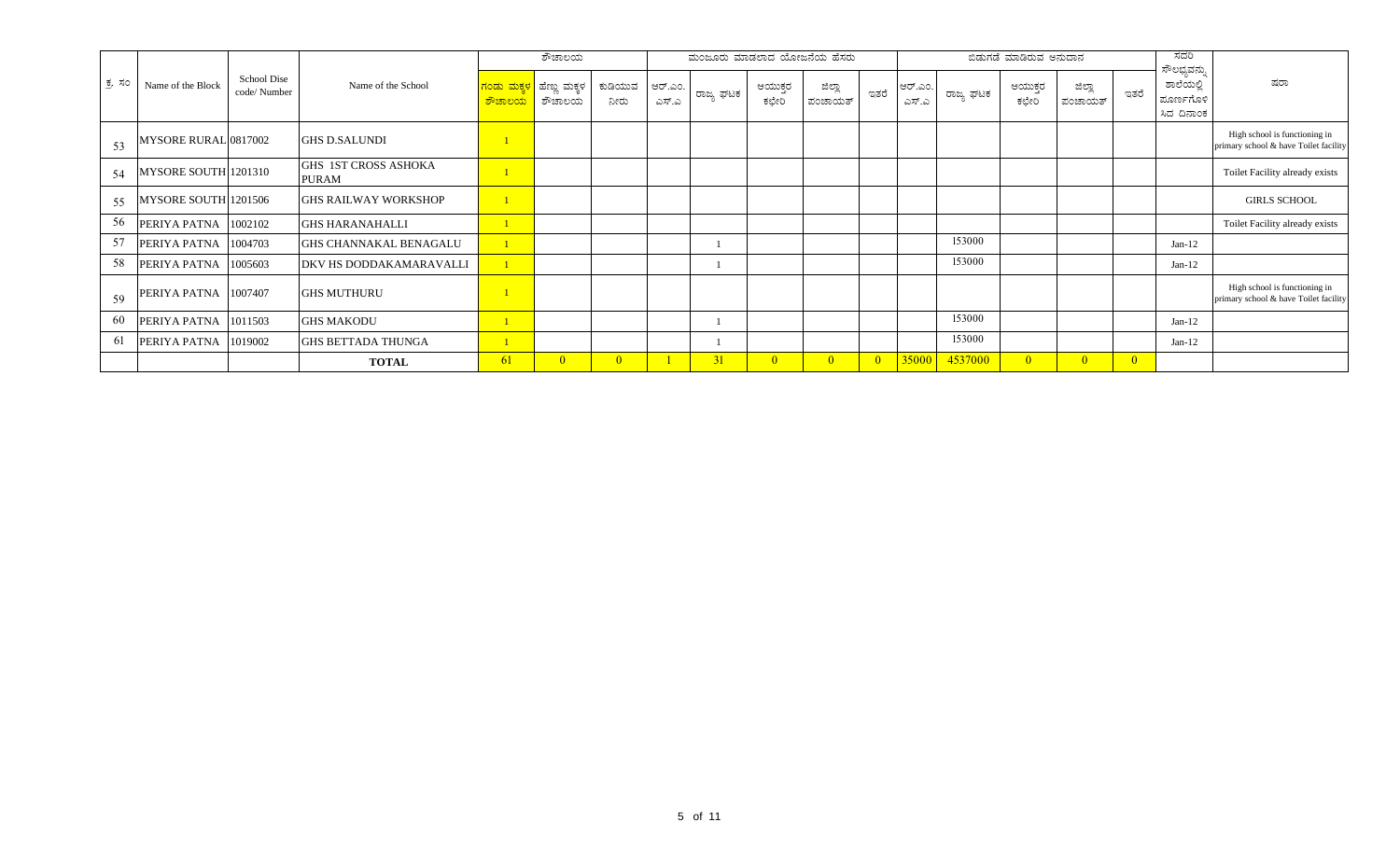|       |                                                 |                                      |                                                             | ಶೌಚಾಲಯ |                 |                  |           |                  | ಮಂಜೂರು ಮಾಡಲಾದ ಯೋಜನೆಯ ಹೆಸರು |                |                  |           | ಬಿಡುಗಡೆ ಮಾಡಿರುವ ಅನುದಾನ |                   |                | ಸದರಿ                                  |                                                                        |
|-------|-------------------------------------------------|--------------------------------------|-------------------------------------------------------------|--------|-----------------|------------------|-----------|------------------|----------------------------|----------------|------------------|-----------|------------------------|-------------------|----------------|---------------------------------------|------------------------------------------------------------------------|
| ಕ, ಸಂ | School Dise<br>Name of the Block<br>code/Number | Name of the School                   | <mark>ಗಂಡು ಮಕ್ಕಳ</mark> ಹೆಣ್ಣು ಮಕ್ಕಳ<br><mark>ಶೌಚಾಲಯ</mark> | ಶೌಚಾಲಯ | ಕುಡಿಯುವ<br>ನೀರು | ಆರ್.ಎಂ.<br>ಎಸ್.ಎ | ರಾಜ್ಯ ಘಟಕ | ಆಯುಕ್ತರ<br>ಕಛೇರಿ | ಜಿಲ್ಲಾ<br>ಪಂಚಾಯತ್          | ಇತರೆ           | ಆರ್.ಎಂ.<br>ಎಸ್.ಎ | ರಾಜ್ಯ ಘಟಕ | ಆಯುಕ್ತರ<br>ಕಛೇರಿ       | ಜಿಲ್ಲಾ<br>ಪಂಚಾಯತ್ | ಇತರೆ           | ಸೌಲಭ್ಯವನ್ನು<br>ಶಾಲೆಯಲ್ಲಿ<br>ಮೂರ್ಣಗೊಳಿ | ಷರಾ                                                                    |
|       |                                                 |                                      |                                                             |        |                 |                  |           |                  |                            |                |                  |           |                        |                   |                | ಸಿದ ದಿನಾಂಕ                            |                                                                        |
| 53    | MYSORE RURAL 0817002                            | <b>GHS D.SALUNDI</b>                 |                                                             |        |                 |                  |           |                  |                            |                |                  |           |                        |                   |                |                                       | High school is functioning in<br>primary school & have Toilet facility |
| 54    | MYSORE SOUTH 1201310                            | GHS 1ST CROSS ASHOKA<br><b>PURAM</b> |                                                             |        |                 |                  |           |                  |                            |                |                  |           |                        |                   |                |                                       | Toilet Facility already exists                                         |
| 55    | MYSORE SOUTH 1201506                            | <b>GHS RAILWAY WORKSHOP</b>          |                                                             |        |                 |                  |           |                  |                            |                |                  |           |                        |                   |                |                                       | <b>GIRLS SCHOOL</b>                                                    |
| 56    | PERIYA PATNA<br>1002102                         | <b>GHS HARANAHALLI</b>               |                                                             |        |                 |                  |           |                  |                            |                |                  |           |                        |                   |                |                                       | Toilet Facility already exists                                         |
| 57    | PERIYA PATNA<br>1004703                         | <b>GHS CHANNAKAL BENAGALU</b>        |                                                             |        |                 |                  |           |                  |                            |                |                  | 153000    |                        |                   |                | $Jan-12$                              |                                                                        |
| 58    | PERIYA PATNA<br>1005603                         | DKV HS DODDAKAMARAVALLI              |                                                             |        |                 |                  |           |                  |                            |                |                  | 153000    |                        |                   |                | $Jan-12$                              |                                                                        |
| 59    | <b>ERIYA PATNA</b> 1007407                      | <b>GHS MUTHURU</b>                   |                                                             |        |                 |                  |           |                  |                            |                |                  |           |                        |                   |                |                                       | High school is functioning in<br>primary school & have Toilet facility |
| 60    | 1011503<br>PERIYA PATNA                         | <b>GHS MAKODU</b>                    |                                                             |        |                 |                  |           |                  |                            |                |                  | 153000    |                        |                   |                | $Jan-12$                              |                                                                        |
| 61    | PERIYA PATNA<br>1019002                         | <b>GHS BETTADA THUNGA</b>            |                                                             |        |                 |                  |           |                  |                            |                |                  | 153000    |                        |                   |                | $Jan-12$                              |                                                                        |
|       |                                                 | <b>TOTAL</b>                         | 61                                                          |        | $\Omega$        |                  | 31        | $\Omega$         | $\overline{0}$             | $\overline{0}$ | 35000            | 4537000   | $\Omega$               |                   | $\overline{0}$ |                                       |                                                                        |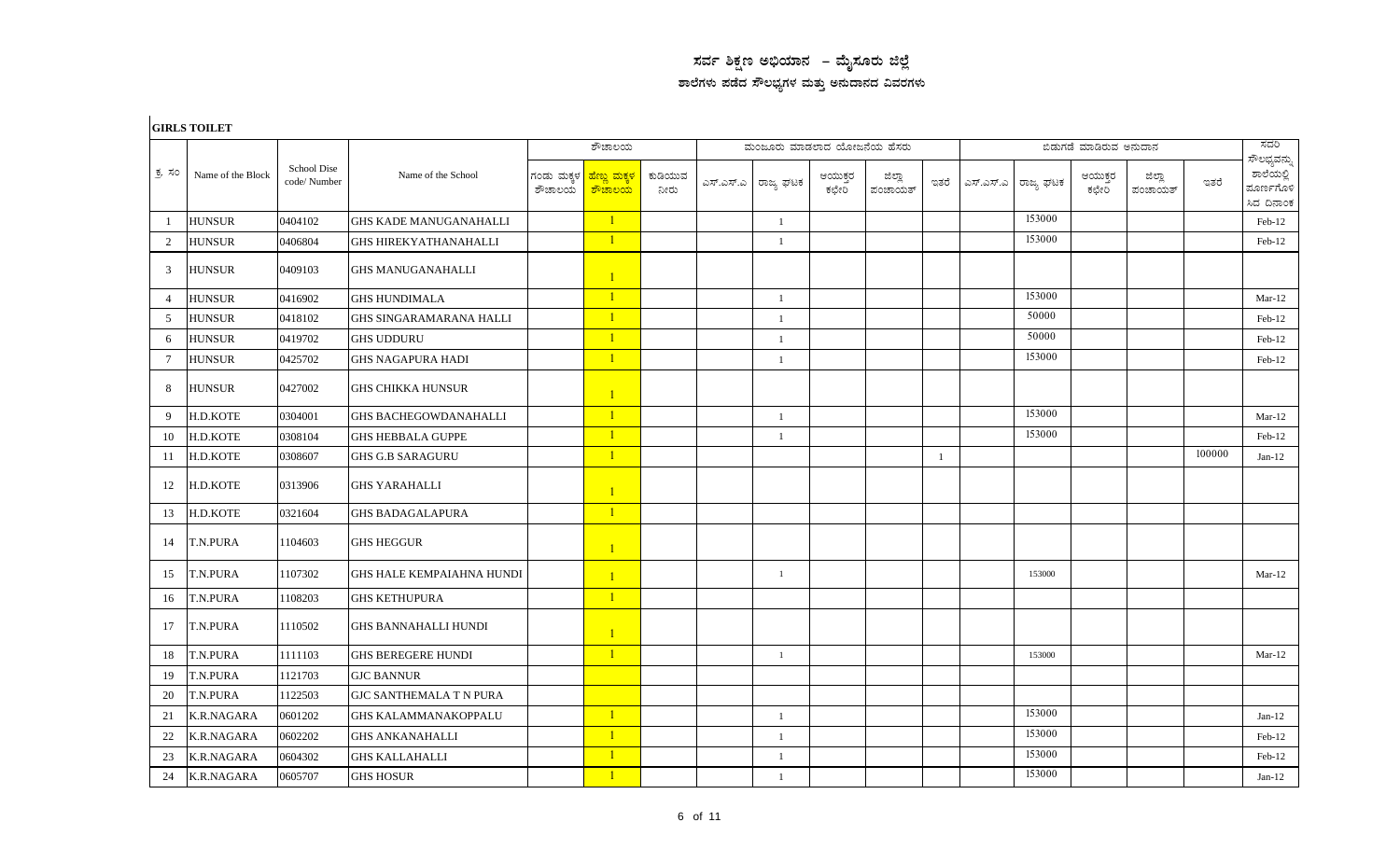## $\,$ ಸರ್ವ ಶಿಕ್ಷಣ ಅಭಿಯಾನ – ಮೈಸೂರು ಜಿಲ್ಲೆ ಶಾಲೆಗಳು ಪಡೆದ ಸೌಲಭ್ಯಗಳ ಮತ್ತು ಅನುದಾನದ ವಿವರಗಳು

|                 | <b>GIRLS TOILET</b> |                            |                                  |                      |                                                  |                 |                            |                  |                   |      |           |           |                        |                   |        |                                                     |
|-----------------|---------------------|----------------------------|----------------------------------|----------------------|--------------------------------------------------|-----------------|----------------------------|------------------|-------------------|------|-----------|-----------|------------------------|-------------------|--------|-----------------------------------------------------|
|                 |                     |                            |                                  |                      | ಶೌಚಾಲಯ                                           |                 | ಮಂಜೂರು ಮಾಡಲಾದ ಯೋಜನೆಯ ಹೆಸರು |                  |                   |      |           |           | ಬಿಡುಗಡೆ ಮಾಡಿರುವ ಅನುದಾನ |                   |        | ಸದರಿ                                                |
| ಕ್ರ ಸಂ          | Name of the Block   | School Dise<br>code/Number | Name of the School               | ಗಂಡು ಮಕ್ಕಳ<br>ಶೌಚಾಲಯ | <mark>ಹೆಣ್ಣು ಮಕ್ಕಳ</mark><br><mark>ಶೌಚಾಲಯ</mark> | ಕುಡಿಯುವ<br>ನೀರು | ಎಸ್.ಎಸ್.ಎ ರಾಜ್ಯ ಘಟಕ        | ಆಯುಕ್ತರ<br>ಕಛೇರಿ | ಜಿಲ್ಲಾ<br>ಪಂಚಾಯತ್ | ಇತರೆ | ಎಸ್.ಎಸ್.ಎ | ರಾಜ್ಯ ಘಟಕ | ಆಯುಕ್ತರ<br>ಕಛೇರಿ       | ಜಿಲ್ಲಾ<br>ಪಂಚಾಯತ್ | ಇತರೆ   | ಸೌಲಭ್ಯವನ್ನು<br>ಶಾಲೆಯಲ್ಲಿ<br>ಮೂರ್ಣಗೊಳಿ<br>ಸಿದ ದಿನಾಂಕ |
| -1              | <b>HUNSUR</b>       | 0404102                    | <b>GHS KADE MANUGANAHALLI</b>    |                      | $\mathbf{1}$                                     |                 | $\mathbf{1}$               |                  |                   |      |           | 153000    |                        |                   |        | $Feb-12$                                            |
| 2               | <b>HUNSUR</b>       | 0406804                    | <b>GHS HIREKYATHANAHALLI</b>     |                      | $\mathbf{1}$                                     |                 | $\overline{1}$             |                  |                   |      |           | 153000    |                        |                   |        | Feb-12                                              |
| 3               | <b>HUNSUR</b>       | 0409103                    | <b>GHS MANUGANAHALLI</b>         |                      | $\mathbf{1}$                                     |                 |                            |                  |                   |      |           |           |                        |                   |        |                                                     |
| $\overline{4}$  | <b>HUNSUR</b>       | 0416902                    | <b>GHS HUNDIMALA</b>             |                      | $\mathbf{1}$                                     |                 | $\mathbf{1}$               |                  |                   |      |           | 153000    |                        |                   |        | $Mar-12$                                            |
| 5               | <b>HUNSUR</b>       | 0418102                    | <b>GHS SINGARAMARANA HALLI</b>   |                      | $\mathbf{1}$                                     |                 | $\mathbf{1}$               |                  |                   |      |           | 50000     |                        |                   |        | Feb-12                                              |
| 6               | <b>HUNSUR</b>       | 0419702                    | <b>GHS UDDURU</b>                |                      | $\mathbf{1}$                                     |                 | $\overline{1}$             |                  |                   |      |           | 50000     |                        |                   |        | Feb-12                                              |
| $7\phantom{.0}$ | <b>HUNSUR</b>       | 0425702                    | <b>GHS NAGAPURA HADI</b>         |                      | $\mathbf{1}$                                     |                 | $\overline{1}$             |                  |                   |      |           | 153000    |                        |                   |        | Feb-12                                              |
| 8               | <b>HUNSUR</b>       | 0427002                    | <b>GHS CHIKKA HUNSUR</b>         |                      | $\mathbf{1}$                                     |                 |                            |                  |                   |      |           |           |                        |                   |        |                                                     |
| $\mathbf{Q}$    | H.D.KOTE            | 0304001                    | <b>GHS BACHEGOWDANAHALLI</b>     |                      | $\mathbf{1}$                                     |                 | $\mathbf{1}$               |                  |                   |      |           | 153000    |                        |                   |        | $Mar-12$                                            |
| 10              | H.D.KOTE            | 0308104                    | <b>GHS HEBBALA GUPPE</b>         |                      | $\overline{1}$                                   |                 | $\overline{1}$             |                  |                   |      |           | 153000    |                        |                   |        | Feb-12                                              |
| 11              | H.D.KOTE            | 0308607                    | <b>GHS G.B SARAGURU</b>          |                      | $\mathbf{1}$                                     |                 |                            |                  |                   | -1   |           |           |                        |                   | 100000 | Jan- $12$                                           |
| 12              | H.D.KOTE            | 0313906                    | <b>GHS YARAHALLI</b>             |                      | $\mathbf{1}$                                     |                 |                            |                  |                   |      |           |           |                        |                   |        |                                                     |
| 13              | H.D.KOTE            | 0321604                    | <b>GHS BADAGALAPURA</b>          |                      | $\mathbf{1}$                                     |                 |                            |                  |                   |      |           |           |                        |                   |        |                                                     |
| 14              | <b>T.N.PURA</b>     | 1104603                    | <b>GHS HEGGUR</b>                |                      | $\mathbf{1}$                                     |                 |                            |                  |                   |      |           |           |                        |                   |        |                                                     |
| 15              | <b>T.N.PURA</b>     | 1107302                    | <b>GHS HALE KEMPAIAHNA HUNDI</b> |                      | $\mathbf{1}$                                     |                 | $\mathbf{1}$               |                  |                   |      |           | 153000    |                        |                   |        | $Mar-12$                                            |
| 16              | <b>T.N.PURA</b>     | 1108203                    | <b>GHS KETHUPURA</b>             |                      | $\mathbf{1}$                                     |                 |                            |                  |                   |      |           |           |                        |                   |        |                                                     |
| 17              | <b>T.N.PURA</b>     | 1110502                    | <b>GHS BANNAHALLI HUNDI</b>      |                      | $\mathbf{1}$                                     |                 |                            |                  |                   |      |           |           |                        |                   |        |                                                     |
| 18              | T.N.PURA            | 1111103                    | <b>GHS BEREGERE HUNDI</b>        |                      | $\mathbf{1}$                                     |                 | $\mathbf{1}$               |                  |                   |      |           | 153000    |                        |                   |        | $Mar-12$                                            |
| 19              | <b>T.N.PURA</b>     | 1121703                    | <b>GJC BANNUR</b>                |                      |                                                  |                 |                            |                  |                   |      |           |           |                        |                   |        |                                                     |
| 20              | <b>T.N.PURA</b>     | 1122503                    | <b>GJC SANTHEMALA T N PURA</b>   |                      |                                                  |                 |                            |                  |                   |      |           |           |                        |                   |        |                                                     |
| 21              | <b>K.R.NAGARA</b>   | 0601202                    | <b>GHS KALAMMANAKOPPALU</b>      |                      | $\mathbf{1}$                                     |                 | $\overline{1}$             |                  |                   |      |           | 153000    |                        |                   |        | Jan- $12$                                           |
| 22              | <b>K.R.NAGARA</b>   | 0602202                    | <b>GHS ANKANAHALLI</b>           |                      | $\mathbf{1}$                                     |                 | $\overline{1}$             |                  |                   |      |           | 153000    |                        |                   |        | Feb-12                                              |
| 23              | <b>K.R.NAGARA</b>   | 0604302                    | <b>GHS KALLAHALLI</b>            |                      | $\mathbf{1}$                                     |                 | $\mathbf{1}$               |                  |                   |      |           | 153000    |                        |                   |        | Feb-12                                              |
| 24              | <b>K.R.NAGARA</b>   | 0605707                    | <b>GHS HOSUR</b>                 |                      | $\overline{1}$                                   |                 | $\mathbf{1}$               |                  |                   |      |           | 153000    |                        |                   |        | Jan- $12$                                           |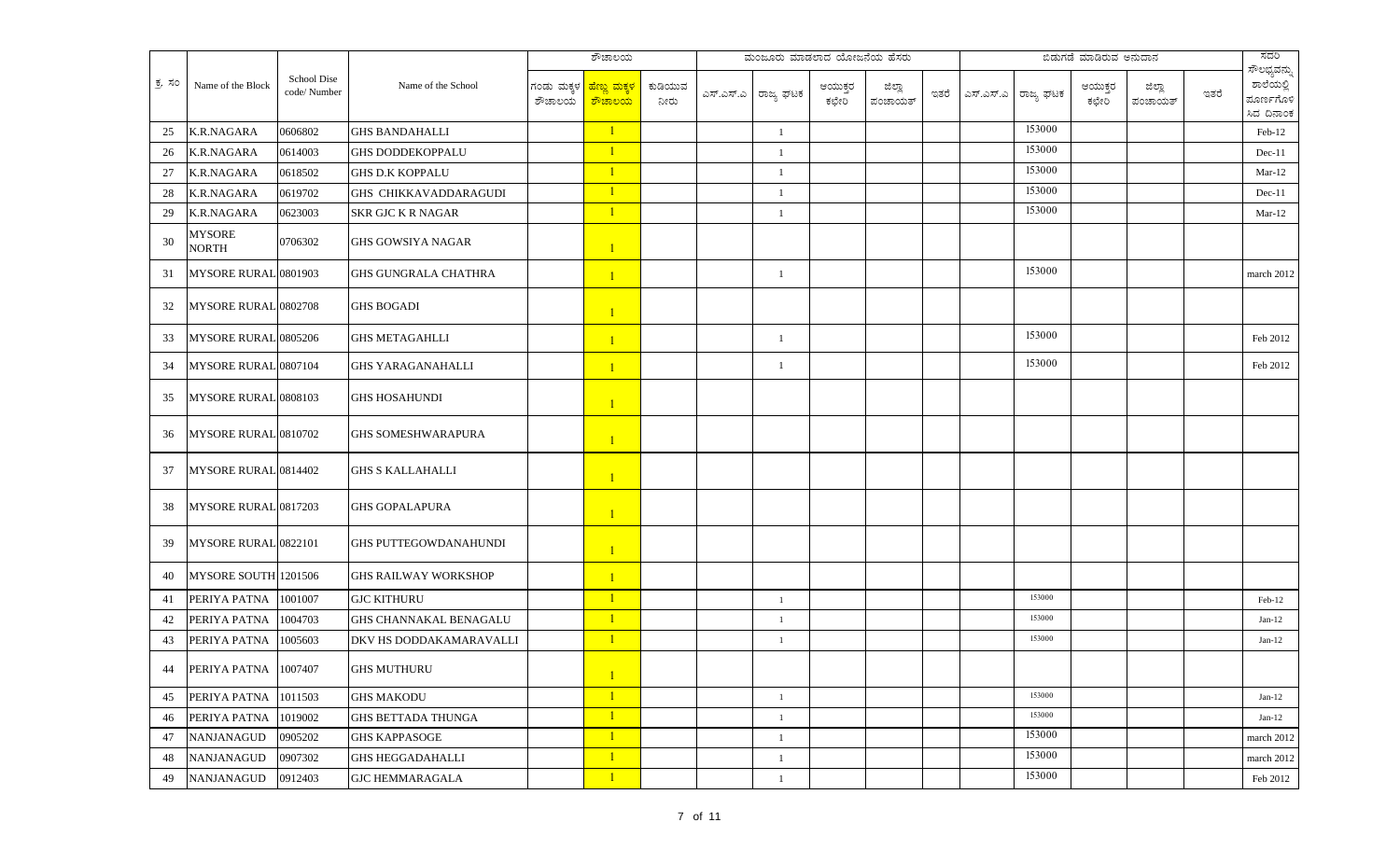|        |                               |                            |                              |                      | ಶೌಚಾಲಯ                                      |                 | ಮಂಜೂರು ಮಾಡಲಾದ ಯೋಜನೆಯ ಹೆಸರು |                  |                   |      |           |           | ಬಿಡುಗಡೆ ಮಾಡಿರುವ ಅನುದಾನ |                   |      | ಸದರಿ                                                |
|--------|-------------------------------|----------------------------|------------------------------|----------------------|---------------------------------------------|-----------------|----------------------------|------------------|-------------------|------|-----------|-----------|------------------------|-------------------|------|-----------------------------------------------------|
| ಕ್ರ ಸಂ | Name of the Block             | School Dise<br>code/Number | Name of the School           | ಗಂಡು ಮಕ್ಕಳ<br>ಶೌಚಾಲಯ | <mark>'ಹೆಣ್ಣು ಮಕ್ಕಳ</mark><br><u>ಕಾಚಾಲಯ</u> | ಕುಡಿಯುವ<br>ನೀರು | ಎಸ್.ಎಸ್.ಎ ರಾಜ್ಯ ಘಟಕ        | ಆಯುಕ್ತರ<br>ಕಛೇರಿ | ಜಿಲ್ಲಾ<br>ಪಂಚಾಯತ್ | ಇತರೆ | ಎಸ್.ಎಸ್.ಎ | ರಾಜ್ಯ ಘಟಕ | ಆಯುಕ್ತರ<br>ಕಛೇರಿ       | ಜಿಲ್ಲಾ<br>ಪಂಚಾಯತ್ | ಇತರೆ | ಸೌಲಭ್ಯವನ್ನು<br>ಶಾಲೆಯಲ್ಲಿ<br>ಮೂರ್ಣಗೊಳಿ<br>ಸಿದ ದಿನಾಂಕ |
| 25     | <b>K.R.NAGARA</b>             | 0606802                    | <b>GHS BANDAHALLI</b>        |                      | $\mathbf{1}$                                |                 | $\mathbf{1}$               |                  |                   |      |           | 153000    |                        |                   |      | Feb-12                                              |
| 26     | K.R.NAGARA                    | 0614003                    | <b>GHS DODDEKOPPALU</b>      |                      | $\mathbf{1}$                                |                 | $\mathbf{1}$               |                  |                   |      |           | 153000    |                        |                   |      | $Dec-11$                                            |
| 27     | <b>K.R.NAGARA</b>             | 0618502                    | <b>GHS D.K KOPPALU</b>       |                      | $\mathbf{1}$                                |                 | $\mathbf{1}$               |                  |                   |      |           | 153000    |                        |                   |      | $Mar-12$                                            |
| 28     | K.R.NAGARA                    | 0619702                    | GHS CHIKKAVADDARAGUDI        |                      | $\mathbf{1}$                                |                 | 1                          |                  |                   |      |           | 153000    |                        |                   |      | $Dec-11$                                            |
| 29     | <b>K.R.NAGARA</b>             | 0623003                    | <b>SKR GJC K R NAGAR</b>     |                      | $\mathbf{1}$                                |                 | $\mathbf{1}$               |                  |                   |      |           | 153000    |                        |                   |      | $Mar-12$                                            |
| 30     | <b>MYSORE</b><br><b>NORTH</b> | 0706302                    | <b>GHS GOWSIYA NAGAR</b>     |                      | $\mathbf{1}$                                |                 |                            |                  |                   |      |           |           |                        |                   |      |                                                     |
| 31     | MYSORE RURAL 0801903          |                            | <b>GHS GUNGRALA CHATHRA</b>  |                      | $\mathbf{1}$                                |                 | -1                         |                  |                   |      |           | 153000    |                        |                   |      | march 2012                                          |
| 32     | MYSORE RURAL 0802708          |                            | <b>GHS BOGADI</b>            |                      | $\mathbf{1}$                                |                 |                            |                  |                   |      |           |           |                        |                   |      |                                                     |
| 33     | MYSORE RURAL 0805206          |                            | <b>GHS METAGAHLLI</b>        |                      | $\mathbf{1}$                                |                 | $\mathbf{1}$               |                  |                   |      |           | 153000    |                        |                   |      | Feb 2012                                            |
| 34     | MYSORE RURAL 0807104          |                            | <b>GHS YARAGANAHALLI</b>     |                      | $\mathbf{1}$                                |                 | -1                         |                  |                   |      |           | 153000    |                        |                   |      | Feb 2012                                            |
| 35     | MYSORE RURAL 0808103          |                            | <b>GHS HOSAHUNDI</b>         |                      | $\mathbf{1}$                                |                 |                            |                  |                   |      |           |           |                        |                   |      |                                                     |
| 36     | MYSORE RURAL 0810702          |                            | <b>GHS SOMESHWARAPURA</b>    |                      | $\mathbf{1}$                                |                 |                            |                  |                   |      |           |           |                        |                   |      |                                                     |
| 37     | MYSORE RURAL 0814402          |                            | <b>GHS S KALLAHALLI</b>      |                      | $\mathbf{1}$                                |                 |                            |                  |                   |      |           |           |                        |                   |      |                                                     |
| 38     | MYSORE RURAL 0817203          |                            | <b>GHS GOPALAPURA</b>        |                      | $\mathbf{1}$                                |                 |                            |                  |                   |      |           |           |                        |                   |      |                                                     |
| 39     | MYSORE RURAL 0822101          |                            | <b>GHS PUTTEGOWDANAHUNDI</b> |                      | $\mathbf{1}$                                |                 |                            |                  |                   |      |           |           |                        |                   |      |                                                     |
| 40     | MYSORE SOUTH 1201506          |                            | <b>GHS RAILWAY WORKSHOP</b>  |                      | $\mathbf{1}$                                |                 |                            |                  |                   |      |           |           |                        |                   |      |                                                     |
| 41     | PERIYA PATNA 1001007          |                            | <b>GJC KITHURU</b>           |                      | $\mathbf{1}$                                |                 | $\mathbf{1}$               |                  |                   |      |           | 153000    |                        |                   |      | Feb-12                                              |
| 42     | PERIYA PATNA                  | 1004703                    | GHS CHANNAKAL BENAGALU       |                      | $\mathbf{1}$                                |                 | $\mathbf{1}$               |                  |                   |      |           | 153000    |                        |                   |      | $Jan-12$                                            |
| 43     | PERIYA PATNA                  | 1005603                    | DKV HS DODDAKAMARAVALLI      |                      | $\mathbf{1}$                                |                 | $\mathbf{1}$               |                  |                   |      |           | 153000    |                        |                   |      | $Jan-12$                                            |
|        | 44 PERIYA PATNA 1007407       |                            | <b>GHS MUTHURU</b>           |                      |                                             |                 |                            |                  |                   |      |           |           |                        |                   |      |                                                     |
| 45     | PERIYA PATNA                  | 1011503                    | <b>GHS MAKODU</b>            |                      | $\mathbf{1}$                                |                 | $\mathbf{1}$               |                  |                   |      |           | 153000    |                        |                   |      | $Jan-12$                                            |
| 46     | PERIYA PATNA                  | 1019002                    | <b>GHS BETTADA THUNGA</b>    |                      | $\mathbf{1}$                                |                 | $\mathbf{1}$               |                  |                   |      |           | 153000    |                        |                   |      | $Jan-12$                                            |
| 47     | NANJANAGUD                    | 0905202                    | <b>GHS KAPPASOGE</b>         |                      | $\mathbf{1}$                                |                 | $\mathbf{1}$               |                  |                   |      |           | 153000    |                        |                   |      | march 2012                                          |
| 48     | <b>NANJANAGUD</b>             | 0907302                    | <b>GHS HEGGADAHALLI</b>      |                      | $\mathbf{1}$                                |                 | $\mathbf{1}$               |                  |                   |      |           | 153000    |                        |                   |      | march 2012                                          |
| 49     | NANJANAGUD                    | 0912403                    | <b>GJC HEMMARAGALA</b>       |                      | $\mathbf{1}$                                |                 | $\mathbf{1}$               |                  |                   |      |           | 153000    |                        |                   |      | Feb 2012                                            |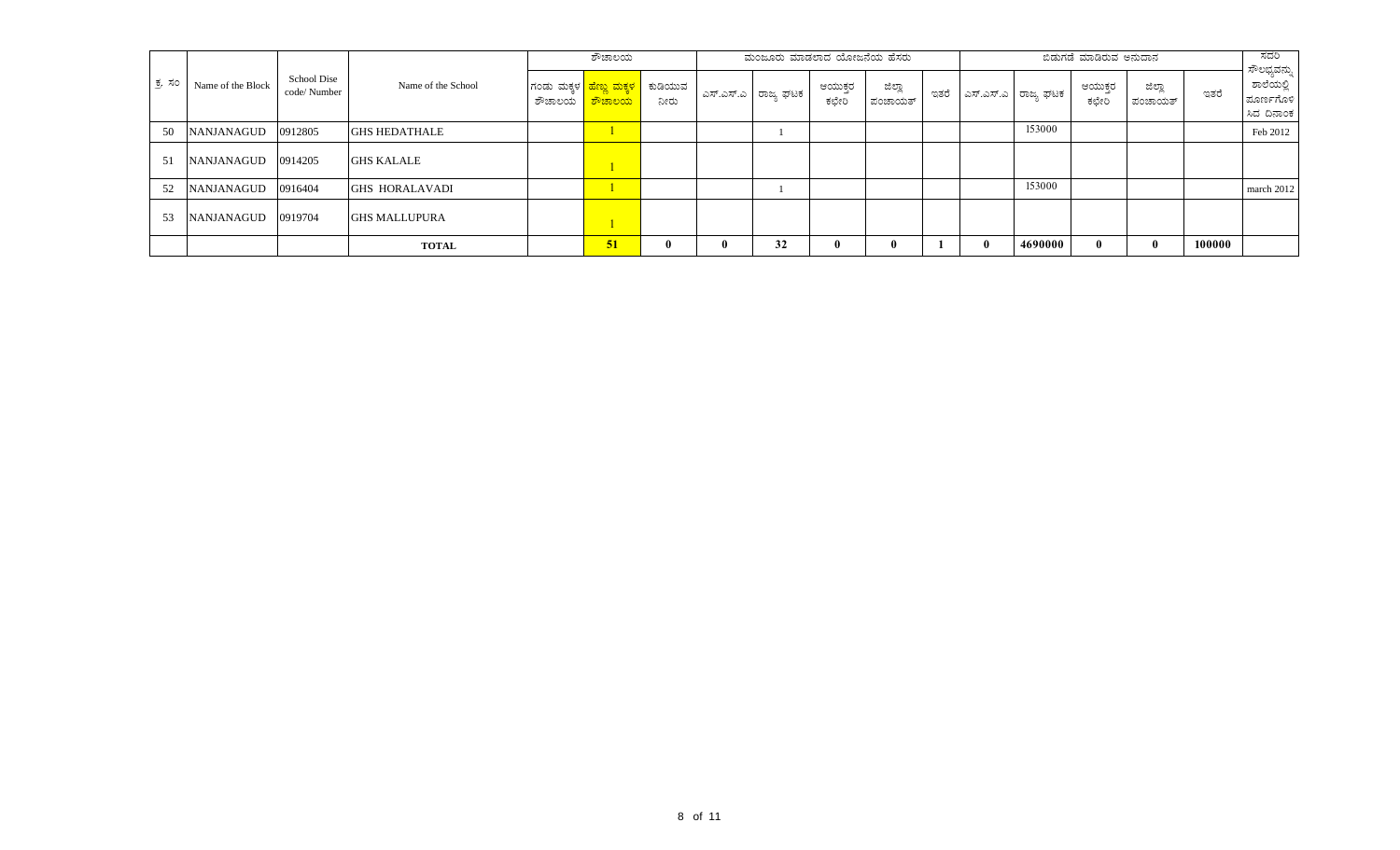|        |                   |                            |                       | ಶೌಚಾಲಯ |                                                               | ಮಂಜೂರು ಮಾಡಲಾದ ಯೋಜನೆಯ ಹೆಸರು |                       |                |                   |      |              | ಬಿಡುಗಡೆ ಮಾಡಿರುವ ಅನುದಾನ |                |                   | ಸದರಿ   |                                                     |
|--------|-------------------|----------------------------|-----------------------|--------|---------------------------------------------------------------|----------------------------|-----------------------|----------------|-------------------|------|--------------|------------------------|----------------|-------------------|--------|-----------------------------------------------------|
| ಕ್ರ ಸಂ | Name of the Block | School Dise<br>code/Number | Name of the School    | ಶೌಚಾಲಯ | ಗಂಡು ಮಕ್ಕಳ <mark>  ಹೆಣ್ಣು ಮಕ್ಕಳ</mark><br><mark>ಕೌಚಾಲಯ</mark> | ಕುಡಿಯುವ<br>ನೀರು            | ಎಸ್.ಎಸ್.ಎ   ರಾಜ್ಯ ಘಟಕ | ಆಯುಕರ<br>ಕಛೇರಿ | ಜಿಲ್ಲಾ<br>ಪಂಚಾಯತ್ | ಇತರೆ |              | ಎಸ್.ಎಸ್.ಎ   ರಾಜ್ಯ ಘಟಕ  | ಆಯುಕರ<br>ಕಛೇರಿ | ಜಿಲ್ಲಾ<br>ಪಂಚಾಯತ್ | ಇತರೆ   | ಸೌಲಭ್ಯವನ್ನು<br>ಶಾಲೆಯಲ್ಲಿ<br>ಮೂರ್ಣಗೊಳಿ<br>ಸಿದ ದಿನಾಂಕ |
| 50     | <b>NANJANAGUD</b> | 0912805                    | <b>GHS HEDATHALE</b>  |        |                                                               |                            |                       |                |                   |      |              | 153000                 |                |                   |        | Feb 2012                                            |
| 51     | NANJANAGUD        | 0914205                    | <b>GHS KALALE</b>     |        |                                                               |                            |                       |                |                   |      |              |                        |                |                   |        |                                                     |
| 52     | <b>NANJANAGUD</b> | 0916404                    | <b>GHS HORALAVADI</b> |        |                                                               |                            |                       |                |                   |      |              | 153000                 |                |                   |        | march 2012                                          |
| 53     | <b>NANJANAGUD</b> | 0919704                    | <b>GHS MALLUPURA</b>  |        |                                                               |                            |                       |                |                   |      |              |                        |                |                   |        |                                                     |
|        |                   |                            | <b>TOTAL</b>          |        | 51                                                            | $\bf{0}$                   | 32                    |                |                   |      | $\mathbf{0}$ | 4690000                |                |                   | 100000 |                                                     |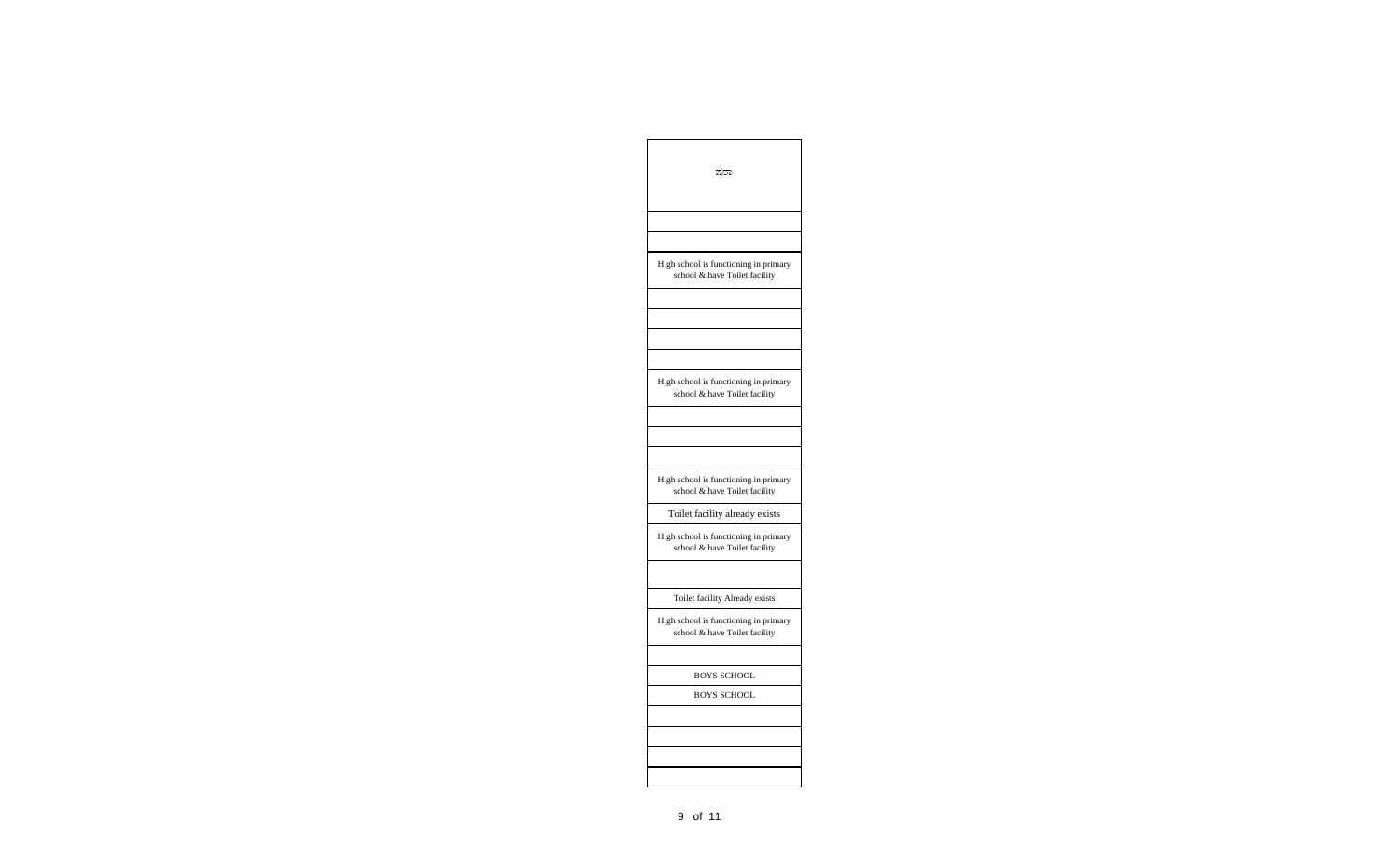| ಷರಾ                                                                    |
|------------------------------------------------------------------------|
|                                                                        |
|                                                                        |
| High school is functioning in primary<br>school & have Toilet facility |
|                                                                        |
|                                                                        |
|                                                                        |
|                                                                        |
| High school is functioning in primary<br>school & have Toilet facility |
|                                                                        |
|                                                                        |
|                                                                        |
| High school is functioning in primary<br>school & have Toilet facility |
| Toilet facility already exists                                         |
| High school is functioning in primary<br>school & have Toilet facility |
|                                                                        |
| Toilet facility Already exists                                         |
| High school is functioning in primary<br>school & have Toilet facility |
|                                                                        |
| BOYS SCHOOL                                                            |
| <b>BOYS SCHOOL</b>                                                     |
|                                                                        |
|                                                                        |
|                                                                        |
|                                                                        |
|                                                                        |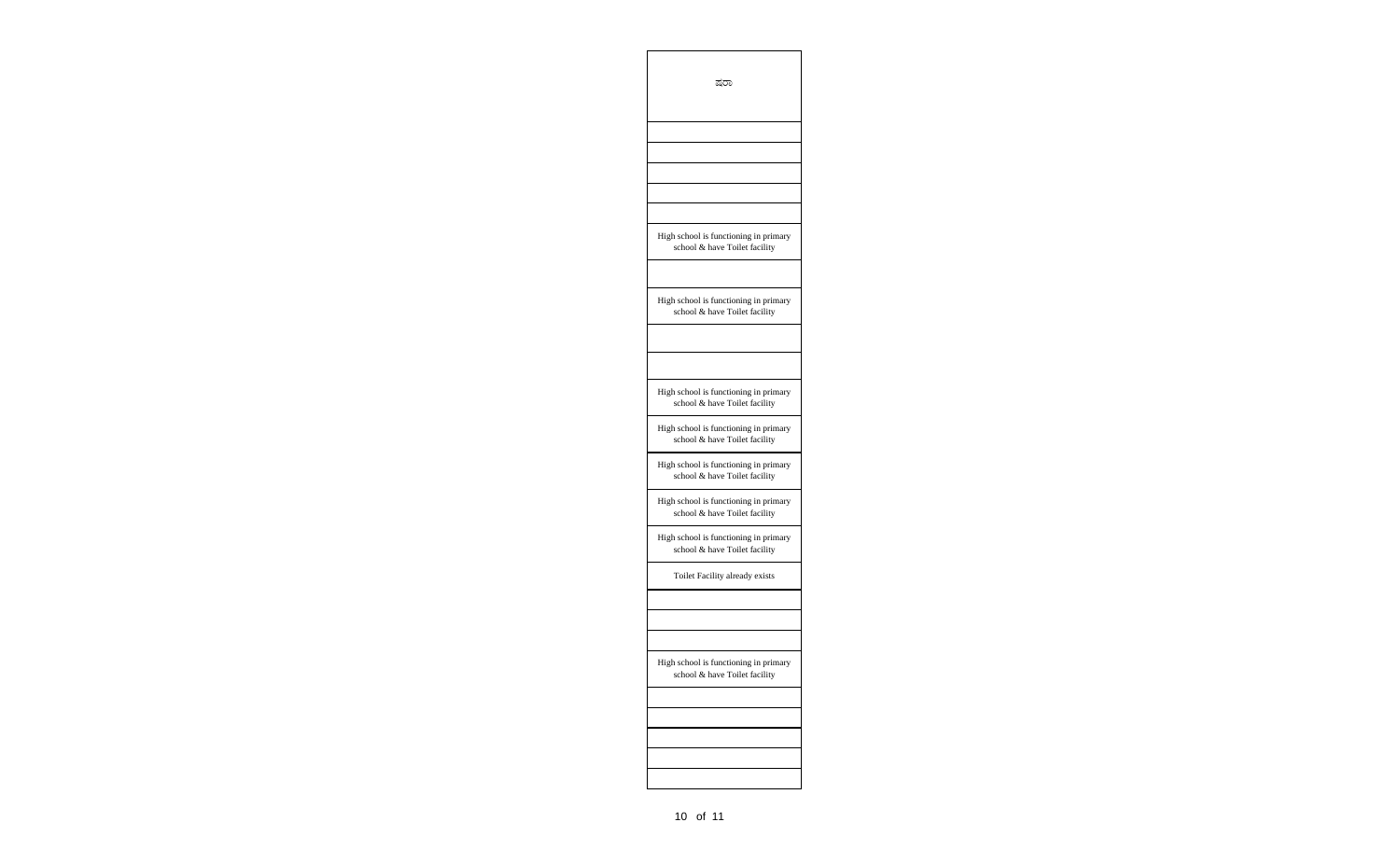| ಷರಾ                                                                    |
|------------------------------------------------------------------------|
|                                                                        |
|                                                                        |
|                                                                        |
| High school is functioning in primary<br>school & have Toilet facility |
| High school is functioning in primary<br>school & have Toilet facility |
|                                                                        |
| High school is functioning in primary<br>school & have Toilet facility |
| High school is functioning in primary<br>school & have Toilet facility |
| High school is functioning in primary<br>school & have Toilet facility |
| High school is functioning in primary<br>school & have Toilet facility |
| High school is functioning in primary<br>school & have Toilet facility |
| Toilet Facility already exists                                         |
|                                                                        |
| High school is functioning in primary<br>school & have Toilet facility |
|                                                                        |
|                                                                        |
|                                                                        |